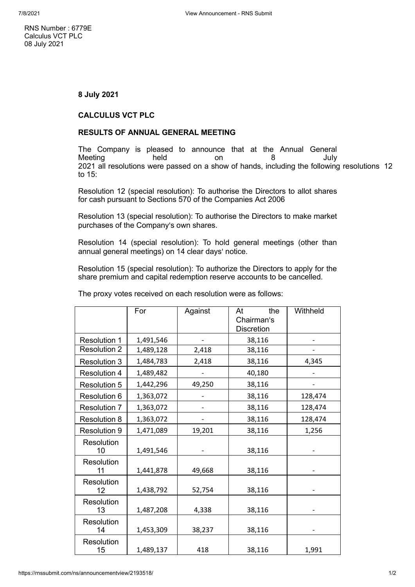RNS Number : 6779E Calculus VCT PLC 08 July 2021

## **8 July 2021**

## **CALCULUS VCT PLC**

## **RESULTS OF ANNUAL GENERAL MEETING**

The Company is pleased to announce that at the Annual General Meeting held on 8 July 2021 all resolutions were passed on a show of hands, including the following resolutions 12 to 15:

Resolution 12 (special resolution): To authorise the Directors to allot shares for cash pursuant to Sections 570 of the Companies Act 2006

Resolution 13 (special resolution): To authorise the Directors to make market purchases of the Company's own shares.

Resolution 14 (special resolution): To hold general meetings (other than annual general meetings) on 14 clear days' notice.

Resolution 15 (special resolution): To authorize the Directors to apply for the share premium and capital redemption reserve accounts to be cancelled.

|                     | For       | Against | the<br>At<br>Chairman's<br><b>Discretion</b> | Withheld |
|---------------------|-----------|---------|----------------------------------------------|----------|
| <b>Resolution 1</b> | 1,491,546 |         | 38,116                                       |          |
| <b>Resolution 2</b> | 1,489,128 | 2,418   | 38,116                                       |          |
| <b>Resolution 3</b> | 1,484,783 | 2,418   | 38,116                                       | 4,345    |
| <b>Resolution 4</b> | 1,489,482 |         | 40,180                                       |          |
| <b>Resolution 5</b> | 1,442,296 | 49,250  | 38,116                                       |          |
| <b>Resolution 6</b> | 1,363,072 |         | 38,116                                       | 128,474  |
| <b>Resolution 7</b> | 1,363,072 |         | 38,116                                       | 128,474  |
| <b>Resolution 8</b> | 1,363,072 |         | 38,116                                       | 128,474  |
| <b>Resolution 9</b> | 1,471,089 | 19,201  | 38,116                                       | 1,256    |
| Resolution<br>10    | 1,491,546 |         | 38,116                                       |          |
| Resolution<br>11    | 1,441,878 | 49,668  | 38,116                                       |          |
| Resolution<br>12    | 1,438,792 | 52,754  | 38,116                                       |          |
| Resolution<br>13    | 1,487,208 | 4,338   | 38,116                                       |          |
| Resolution<br>14    | 1,453,309 | 38,237  | 38,116                                       |          |
| Resolution<br>15    | 1,489,137 | 418     | 38,116                                       | 1,991    |

The proxy votes received on each resolution were as follows: